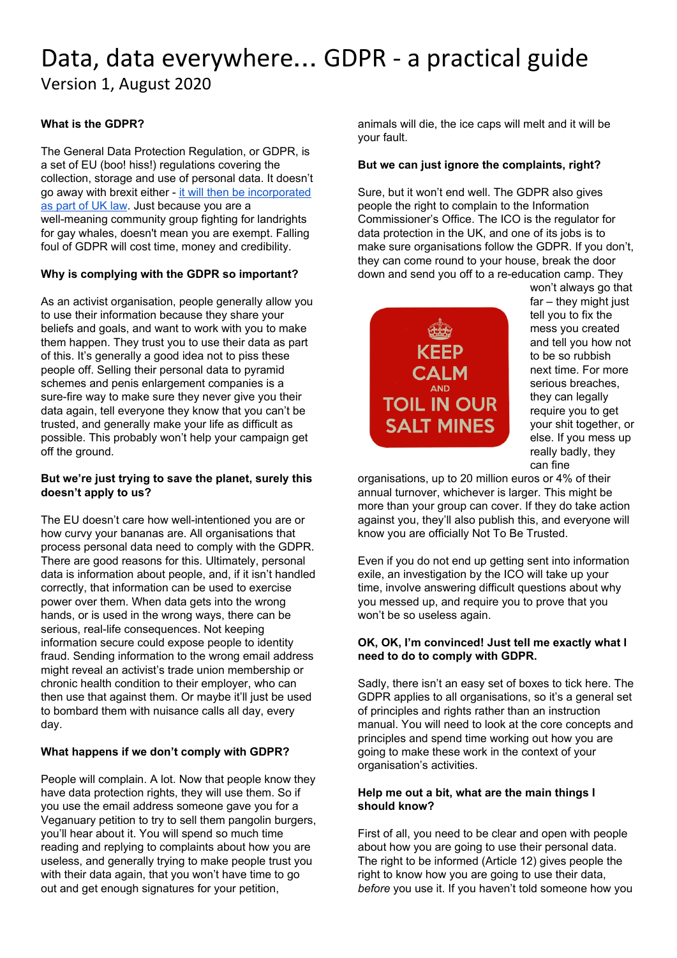# Data, data everywhere… GDPR - a practical guide Version 1, August 2020

# **What is the GDPR?**

The General Data Protection Regulation, or GDPR, is a set of EU (boo! hiss!) regulations covering the collection, storage and use of personal data. It doesn't go away with brexit either - it will then be [incorporated](https://ico.org.uk/for-organisations/data-protection-at-the-end-of-the-transition-period/information-rights-at-the-end-of-the-transition-period-frequently-asked-questions/) as [part](https://ico.org.uk/for-organisations/data-protection-at-the-end-of-the-transition-period/information-rights-at-the-end-of-the-transition-period-frequently-asked-questions/) of UK law. Just because you are a well-meaning community group fighting for landrights for gay whales, doesn't mean you are exempt. Falling foul of GDPR will cost time, money and credibility.

# **Why is complying with the GDPR so important?**

As an activist organisation, people generally allow you to use their information because they share your beliefs and goals, and want to work with you to make them happen. They trust you to use their data as part of this. It's generally a good idea not to piss these people off. Selling their personal data to pyramid schemes and penis enlargement companies is a sure-fire way to make sure they never give you their data again, tell everyone they know that you can't be trusted, and generally make your life as difficult as possible. This probably won't help your campaign get off the ground.

# **But we're just trying to save the planet, surely this doesn't apply to us?**

The EU doesn't care how well-intentioned you are or how curvy your bananas are. All organisations that process personal data need to comply with the GDPR. There are good reasons for this. Ultimately, personal data is information about people, and, if it isn't handled correctly, that information can be used to exercise power over them. When data gets into the wrong hands, or is used in the wrong ways, there can be serious, real-life consequences. Not keeping information secure could expose people to identity fraud. Sending information to the wrong email address might reveal an activist's trade union membership or chronic health condition to their employer, who can then use that against them. Or maybe it'll just be used to bombard them with nuisance calls all day, every day.

# **What happens if we don't comply with GDPR?**

People will complain. A lot. Now that people know they have data protection rights, they will use them. So if you use the email address someone gave you for a Veganuary petition to try to sell them pangolin burgers, you'll hear about it. You will spend so much time reading and replying to complaints about how you are useless, and generally trying to make people trust you with their data again, that you won't have time to go out and get enough signatures for your petition,

animals will die, the ice caps will melt and it will be your fault.

# **But we can just ignore the complaints, right?**

Sure, but it won't end well. The GDPR also gives people the right to complain to the Information Commissioner's Office. The ICO is the regulator for data protection in the UK, and one of its jobs is to make sure organisations follow the GDPR. If you don't, they can come round to your house, break the door down and send you off to a re-education camp. They



won't always go that far – they might just tell you to fix the mess you created and tell you how not to be so rubbish next time. For more serious breaches, they can legally require you to get your shit together, or else. If you mess up really badly, they can fine

organisations, up to 20 million euros or 4% of their annual turnover, whichever is larger. This might be more than your group can cover. If they do take action against you, they'll also publish this, and everyone will know you are officially Not To Be Trusted.

Even if you do not end up getting sent into information exile, an investigation by the ICO will take up your time, involve answering difficult questions about why you messed up, and require you to prove that you won't be so useless again.

# **OK, OK, I'm convinced! Just tell me exactly what I need to do to comply with GDPR.**

Sadly, there isn't an easy set of boxes to tick here. The GDPR applies to all organisations, so it's a general set of principles and rights rather than an instruction manual. You will need to look at the core concepts and principles and spend time working out how you are going to make these work in the context of your organisation's activities.

#### **Help me out a bit, what are the main things I should know?**

First of all, you need to be clear and open with people about how you are going to use their personal data. The right to be informed (Article 12) gives people the right to know how you are going to use their data, *before* you use it. If you haven't told someone how you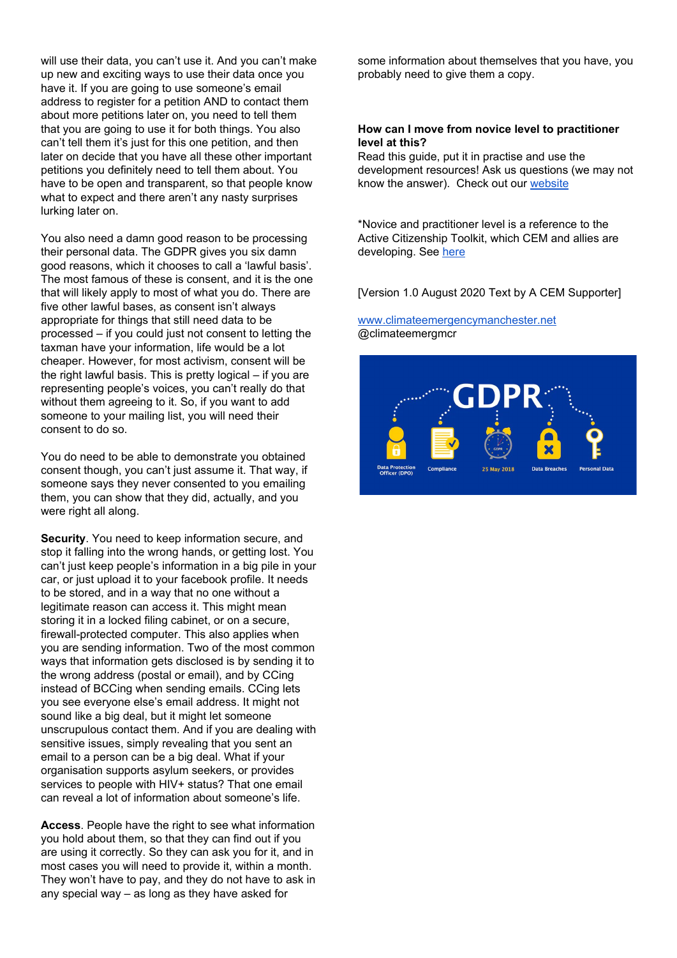will use their data, you can't use it. And you can't make up new and exciting ways to use their data once you have it. If you are going to use someone's email address to register for a petition AND to contact them about more petitions later on, you need to tell them that you are going to use it for both things. You also can't tell them it's just for this one petition, and then later on decide that you have all these other important petitions you definitely need to tell them about. You have to be open and transparent, so that people know what to expect and there aren't any nasty surprises lurking later on.

You also need a damn good reason to be processing their personal data. The GDPR gives you six damn good reasons, which it chooses to call a 'lawful basis'. The most famous of these is consent, and it is the one that will likely apply to most of what you do. There are five other lawful bases, as consent isn't always appropriate for things that still need data to be processed – if you could just not consent to letting the taxman have your information, life would be a lot cheaper. However, for most activism, consent will be the right lawful basis. This is pretty logical – if you are representing people's voices, you can't really do that without them agreeing to it. So, if you want to add someone to your mailing list, you will need their consent to do so.

You do need to be able to demonstrate you obtained consent though, you can't just assume it. That way, if someone says they never consented to you emailing them, you can show that they did, actually, and you were right all along.

**Security**. You need to keep information secure, and stop it falling into the wrong hands, or getting lost. You can't just keep people's information in a big pile in your car, or just upload it to your facebook profile. It needs to be stored, and in a way that no one without a legitimate reason can access it. This might mean storing it in a locked filing cabinet, or on a secure, firewall-protected computer. This also applies when you are sending information. Two of the most common ways that information gets disclosed is by sending it to the wrong address (postal or email), and by CCing instead of BCCing when sending emails. CCing lets you see everyone else's email address. It might not sound like a big deal, but it might let someone unscrupulous contact them. And if you are dealing with sensitive issues, simply revealing that you sent an email to a person can be a big deal. What if your organisation supports asylum seekers, or provides services to people with HIV+ status? That one email can reveal a lot of information about someone's life.

**Access**. People have the right to see what information you hold about them, so that they can find out if you are using it correctly. So they can ask you for it, and in most cases you will need to provide it, within a month. They won't have to pay, and they do not have to ask in any special way – as long as they have asked for

some information about themselves that you have, you probably need to give them a copy.

#### **How can I move from novice level to practitioner level at this?**

Read this guide, put it in practise and use the development resources! Ask us questions (we may not know the answer). Check out our [website](http://climateemergencymanchester.net/)

\*Novice and practitioner level is a reference to the Active Citizenship Toolkit, which CEM and allies are developing. See [here](https://climateemergencymanchester.net/2020/05/26/help-us-get-our-a-c-t-together-on-climate-action-in-manchester/)

[Version 1.0 August 2020 Text by A CEM Supporter]

#### [www.climateemergencymanchester.net](http://www.climateemergencymanchester.net/) @climateemergmcr